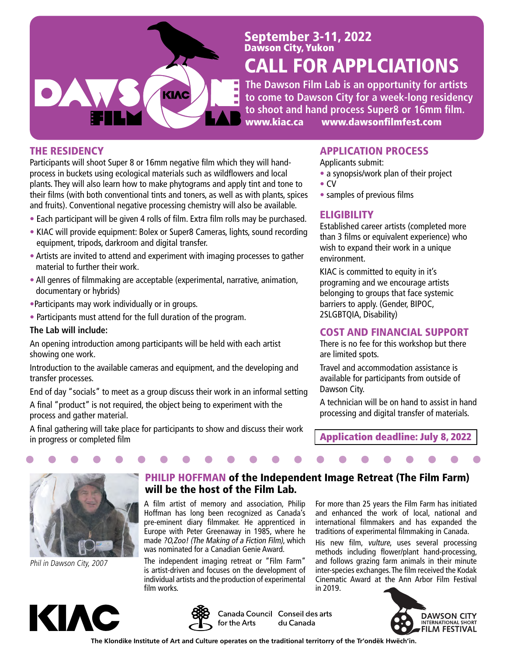

# September 3-11, 2022 Dawson City, Yukon

# CALL FOR APPLCIATIONS

**The Dawson Film Lab is an opportunity for artists to come to Dawson City for a week-long residency to shoot and hand process Super8 or 16mm film.** www.kiac.ca www.dawsonfilmfest.com

#### THE RESIDENCY

Participants will shoot Super 8 or 16mm negative film which they will handprocess in buckets using ecological materials such as wildflowers and local plants. They will also learn how to make phytograms and apply tint and tone to their films (with both conventional tints and toners, as well as with plants, spices and fruits). Conventional negative processing chemistry will also be available.

- Each participant will be given 4 rolls of film. Extra film rolls may be purchased.
- KIAC will provide equipment: Bolex or Super8 Cameras, lights, sound recording equipment, tripods, darkroom and digital transfer.
- Artists are invited to attend and experiment with imaging processes to gather material to further their work.
- All genres of filmmaking are acceptable (experimental, narrative, animation, documentary or hybrids)
- •Participants may work individually or in groups.
- Participants must attend for the full duration of the program.

#### **The Lab will include:**

An opening introduction among participants will be held with each artist showing one work.

Introduction to the available cameras and equipment, and the developing and transfer processes.

End of day "socials" to meet as a group discuss their work in an informal setting

A final "product" is not required, the object being to experiment with the process and gather material.

A final gathering will take place for participants to show and discuss their work in progress or completed film

### APPLICATION PROCESS

- Applicants submit:
- a synopsis/work plan of their project
- CV
- samples of previous films

### **ELIGIBILITY**

Established career artists (completed more than 3 films or equivalent experience) who wish to expand their work in a unique environment.

KIAC is committed to equity in it's programing and we encourage artists belonging to groups that face systemic barriers to apply. (Gender, BIPOC, 2SLGBTQIA, Disability)

#### COST AND FINANCIAL SUPPORT

There is no fee for this workshop but there are limited spots.

Travel and accommodation assistance is available for participants from outside of Dawson City.

A technician will be on hand to assist in hand processing and digital transfer of materials.

Application deadline: July 8, 2022

For more than 25 years the Film Farm has initiated and enhanced the work of local, national and international filmmakers and has expanded the traditions of experimental filmmaking in Canada. His new film, vulture, uses several processing methods including flower/plant hand-processing, and follows grazing farm animals in their minute inter-species exchanges. The film received the Kodak Cinematic Award at the Ann Arbor Film Festival



Phil in Dawson City, 2007



### PHILIP HOFFMAN of the Independent Image Retreat (The Film Farm) will be the host of the Film Lab.

A film artist of memory and association, Philip Hoffman has long been recognized as Canada's pre-eminent diary filmmaker. He apprenticed in Europe with Peter Greenaway in 1985, where he made ?O,Zoo! (The Making of a Fiction Film), which was nominated for a Canadian Genie Award.

The independent imaging retreat or "Film Farm" is artist-driven and focuses on the development of individual artists and the production of experimental film works.

Canada Council Conseil des arts for the Arts du Canada

in 2019.



**The Klondike Institute of Art and Culture operates on the traditional territorry of the Tr'ondëk Hwëch'in.**